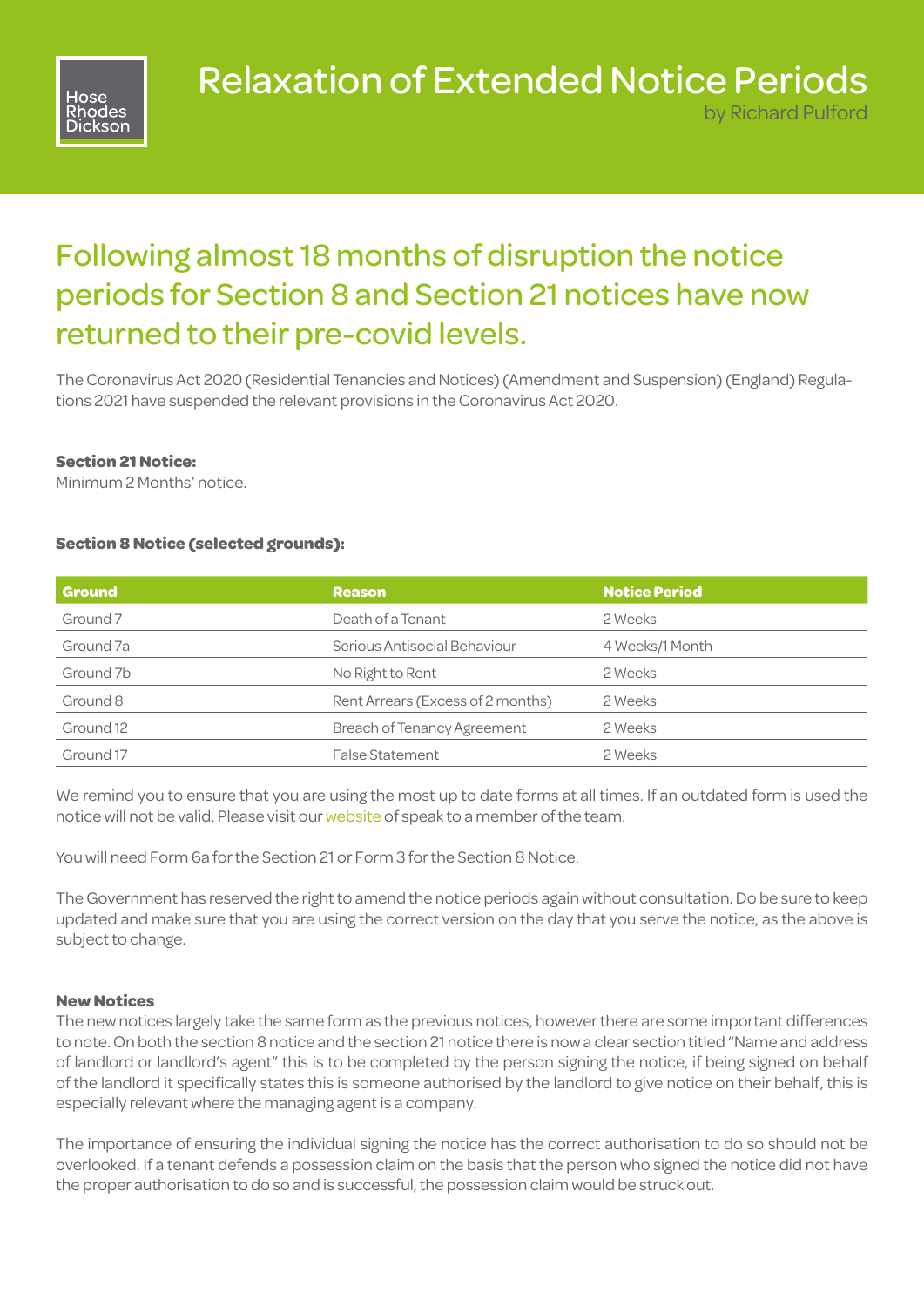

# Relaxation of Extended Notice Periods

by Richard Pulford

## Following almost 18 months of disruption the notice periods for Section 8 and Section 21 notices have now returned to their pre-covid levels.

The Coronavirus Act 2020 (Residential Tenancies and Notices) (Amendment and Suspension) (England) Regulations 2021 have suspended the relevant provisions in the Coronavirus Act 2020.

#### **Section 21 Notice:**

Minimum 2 Months' notice.

#### **Section 8 Notice (selected grounds):**

| <b>Ground</b> | <b>Reason</b>                      | <b>Notice Period</b> |
|---------------|------------------------------------|----------------------|
| Ground 7      | Death of a Tenant                  | 2 Weeks              |
| Ground 7a     | Serious Antisocial Behaviour       | 4 Weeks/1 Month      |
| Ground 7b     | No Right to Rent                   | 2 Weeks              |
| Ground 8      | Rent Arrears (Excess of 2 months)  | 2 Weeks              |
| Ground 12     | <b>Breach of Tenancy Agreement</b> | 2 Weeks              |
| Ground 17     | <b>False Statement</b>             | 2 Weeks              |

We remind you to ensure that you are using the most up to date forms at all times. If an outdated form is used the notice will not be valid. Please visit our [website](https://www.hose-rhodes-dickson.co.uk/) of speak to a member of the team.

You will need Form 6a for the Section 21 or Form 3 for the Section 8 Notice.

The Government has reserved the right to amend the notice periods again without consultation. Do be sure to keep updated and make sure that you are using the correct version on the day that you serve the notice, as the above is subject to change.

#### **New Notices**

The new notices largely take the same form as the previous notices, however there are some important differences to note. On both the section 8 notice and the section 21 notice there is now a clear section titled "Name and address of landlord or landlord's agent" this is to be completed by the person signing the notice, if being signed on behalf of the landlord it specifically states this is someone authorised by the landlord to give notice on their behalf, this is especially relevant where the managing agent is a company.

The importance of ensuring the individual signing the notice has the correct authorisation to do so should not be overlooked. If a tenant defends a possession claim on the basis that the person who signed the notice did not have the proper authorisation to do so and is successful, the possession claim would be struck out.